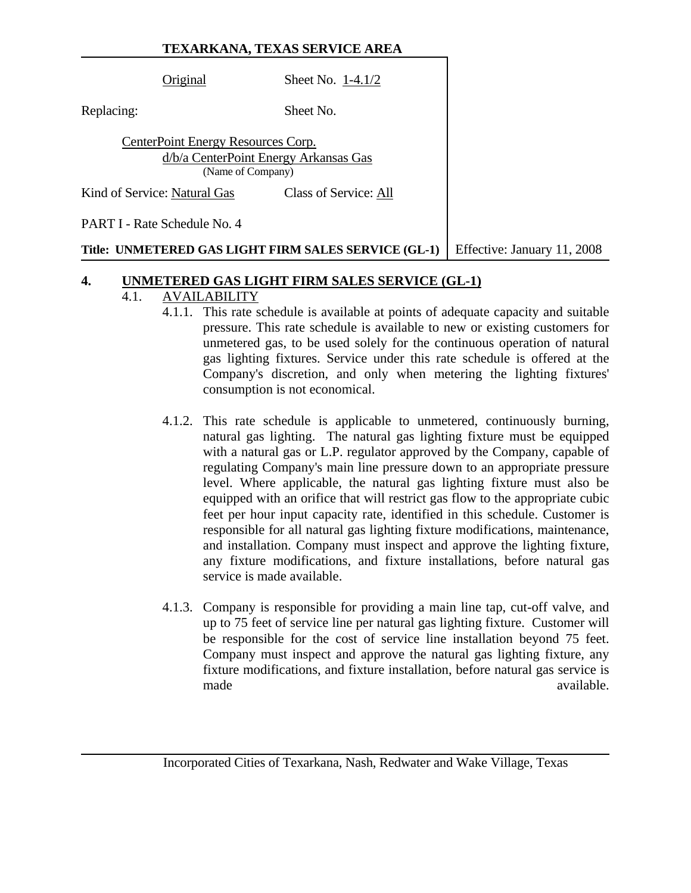### **TEXARKANA, TEXAS SERVICE AREA**

| Original                           | Sheet No. $1-4.1/2$                                        |
|------------------------------------|------------------------------------------------------------|
| Replacing:                         | Sheet No.                                                  |
| CenterPoint Energy Resources Corp. | d/b/a CenterPoint Energy Arkansas Gas<br>(Name of Company) |
| Kind of Service: Natural Gas       | Class of Service: All                                      |
| PART I - Rate Schedule No. 4       |                                                            |

#### **Title: UNMETERED GAS LIGHT FIRM SALES SERVICE (GL-1)** Effective: January 11, 2008

#### **4. UNMETERED GAS LIGHT FIRM SALES SERVICE (GL-1)**

### 4.1. AVAILABILITY

- 4.1.1. This rate schedule is available at points of adequate capacity and suitable pressure. This rate schedule is available to new or existing customers for unmetered gas, to be used solely for the continuous operation of natural gas lighting fixtures. Service under this rate schedule is offered at the Company's discretion, and only when metering the lighting fixtures' consumption is not economical.
- 4.1.2. This rate schedule is applicable to unmetered, continuously burning, natural gas lighting. The natural gas lighting fixture must be equipped with a natural gas or L.P. regulator approved by the Company, capable of regulating Company's main line pressure down to an appropriate pressure level. Where applicable, the natural gas lighting fixture must also be equipped with an orifice that will restrict gas flow to the appropriate cubic feet per hour input capacity rate, identified in this schedule. Customer is responsible for all natural gas lighting fixture modifications, maintenance, and installation. Company must inspect and approve the lighting fixture, any fixture modifications, and fixture installations, before natural gas service is made available.
- 4.1.3. Company is responsible for providing a main line tap, cut-off valve, and up to 75 feet of service line per natural gas lighting fixture. Customer will be responsible for the cost of service line installation beyond 75 feet. Company must inspect and approve the natural gas lighting fixture, any fixture modifications, and fixture installation, before natural gas service is made available.